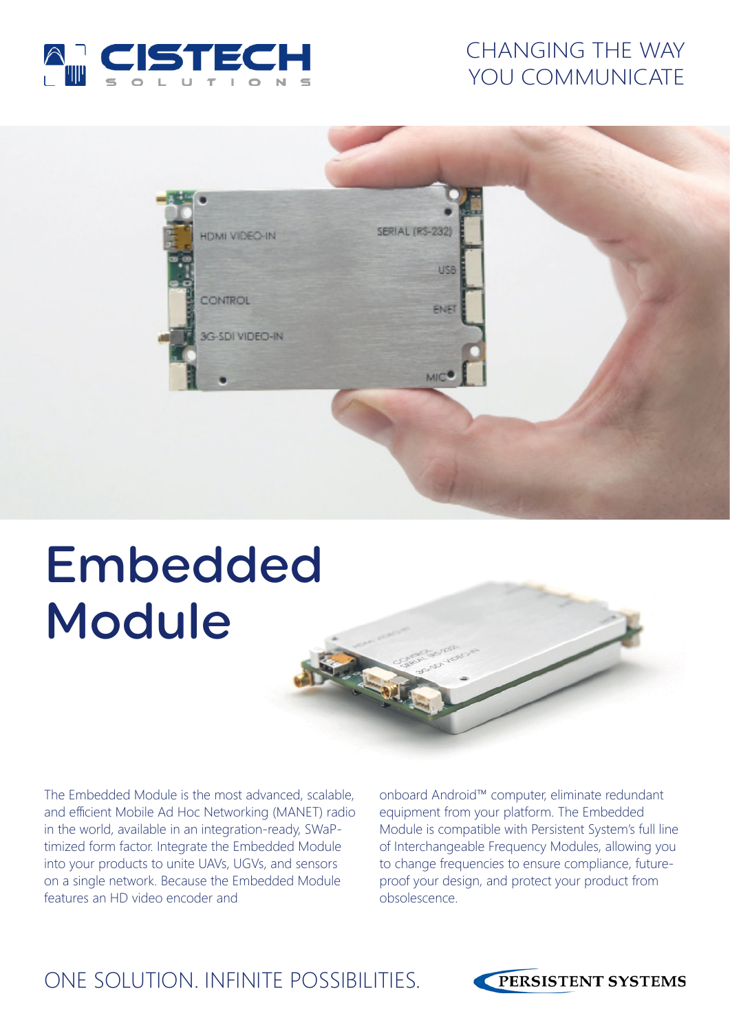

## CHANGING THE WAY YOU COMMUNICATE



# Embedded Module

The Embedded Module is the most advanced, scalable, and efficient Mobile Ad Hoc Networking (MANET) radio in the world, available in an integration-ready, SWaPtimized form factor. Integrate the Embedded Module into your products to unite UAVs, UGVs, and sensors on a single network. Because the Embedded Module features an HD video encoder and

onboard Android™ computer, eliminate redundant equipment from your platform. The Embedded Module is compatible with Persistent System's full line of Interchangeable Frequency Modules, allowing you to change frequencies to ensure compliance, futureproof your design, and protect your product from obsolescence.

## ONE SOLUTION. INFINITE POSSIBILITIES.